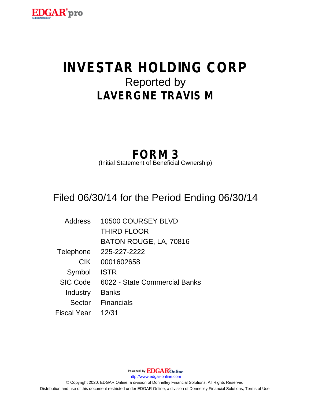

# **INVESTAR HOLDING CORP** Reported by **LAVERGNE TRAVIS M**

## **FORM 3**

(Initial Statement of Beneficial Ownership)

### Filed 06/30/14 for the Period Ending 06/30/14

| Address         | 10500 COURSEY BLVD            |
|-----------------|-------------------------------|
|                 | <b>THIRD FLOOR</b>            |
|                 | BATON ROUGE, LA, 70816        |
| Telephone       | 225-227-2222                  |
| <b>CIK</b>      | 0001602658                    |
| Symbol          | <b>ISTR</b>                   |
| <b>SIC Code</b> | 6022 - State Commercial Banks |
| Industry        | <b>Banks</b>                  |
| Sector          | <b>Financials</b>             |
| Fiscal Year     | 12/31                         |

Powered By **EDGAR**Online http://www.edgar-online.com © Copyright 2020, EDGAR Online, a division of Donnelley Financial Solutions. All Rights Reserved. Distribution and use of this document restricted under EDGAR Online, a division of Donnelley Financial Solutions, Terms of Use.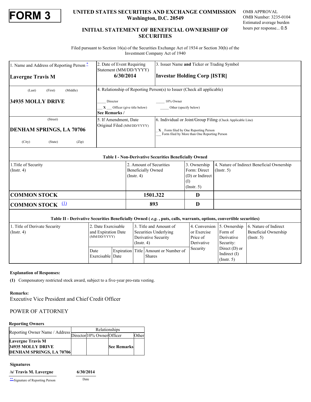

### **FORM 3**<br> **EXECURITIES SECURITIES AND EXCHANGE COMMISSION** OMB APPROVAL<br>
Mashington, D.C. 20549<br>
MB Number: 3235-0104<br>
Estimated average burden<br>
Estimated average burden **Washington, D.C. 20549**

OMB APPROVAL OMB Number: 3235-0104 Estimated average burden hours per response... 0.5

#### **INITIAL STATEMENT OF BENEFICIAL OWNERSHIP OF SECURITIES**

 Filed pursuant to Section 16(a) of the Securities Exchange Act of 1934 or Section 30(h) of the Investment Company Act of 1940

| 1. Name and Address of Reporting Person - | 2. Date of Event Requiring<br>Statement (MM/DD/YYYY)                    | 3. Issuer Name and Ticker or Trading Symbol                                          |  |  |  |  |  |
|-------------------------------------------|-------------------------------------------------------------------------|--------------------------------------------------------------------------------------|--|--|--|--|--|
| <b>Lavergne Travis M</b>                  | 6/30/2014                                                               | <b>Investar Holding Corp [ISTR]</b>                                                  |  |  |  |  |  |
| (Middle)<br>(First)<br>(Last)             | 4. Relationship of Reporting Person(s) to Issuer (Check all applicable) |                                                                                      |  |  |  |  |  |
| 34935 MOLLY DRIVE                         | Director                                                                | 10% Owner                                                                            |  |  |  |  |  |
|                                           | $X$ Officer (give title below)                                          | Other (specify below)                                                                |  |  |  |  |  |
|                                           | See Remarks /                                                           |                                                                                      |  |  |  |  |  |
| (Street)                                  | 5. If Amendment, Date<br>Original Filed (MM/DD/YYYY)                    | 6. Individual or Joint/Group Filing (Check Applicable Line)                          |  |  |  |  |  |
| <b>DENHAM SPRINGS, LA 70706</b>           |                                                                         | X Form filed by One Reporting Person<br>Form filed by More than One Reporting Person |  |  |  |  |  |
| (City)<br>(Zip)<br>(State)                |                                                                         |                                                                                      |  |  |  |  |  |

|--|

| 1. Title of Security<br>$($ Instr. 4 $)$ |                     | 2. Amount of Securities<br><b>Beneficially Owned</b><br>$($ Instr. 4 $)$                                           | 3. Ownership<br>Form: Direct<br>(D) or Indirect | $($ Instr. 5) | 4. Nature of Indirect Beneficial Ownership       |
|------------------------------------------|---------------------|--------------------------------------------------------------------------------------------------------------------|-------------------------------------------------|---------------|--------------------------------------------------|
|                                          |                     |                                                                                                                    | $($ Instr. 5 $)$                                |               |                                                  |
| <b>COMMON STOCK</b>                      |                     | 1501.322                                                                                                           |                                                 |               |                                                  |
| <b>COMMON STOCK</b> $\frac{11}{2}$       |                     | 893                                                                                                                |                                                 |               |                                                  |
|                                          |                     | Table II - Derivative Securities Beneficially Owned (e.g., puts, calls, warrants, options, convertible securities) |                                                 |               |                                                  |
| 1. Title of Derivate Security            | 2. Date Exercisable | 3. Title and Amount of                                                                                             |                                                 |               | 4. Conversion 5. Ownership 6. Nature of Indirect |

| L. Title of Derivate Security<br>2. Date Exercisable |                     | 13. Title and Amount of |                       |                                      |             | $\vert 4$ . Conversion $\vert 5$ . Ownership $\vert 6$ . Nature of Indirect |                      |  |
|------------------------------------------------------|---------------------|-------------------------|-----------------------|--------------------------------------|-------------|-----------------------------------------------------------------------------|----------------------|--|
| $($ Instr. 4 $)$                                     | and Expiration Date |                         | Securities Underlying |                                      | or Exercise | Form of                                                                     | Beneficial Ownership |  |
|                                                      |                     | (MM/DD/YYYY)            |                       | Derivative Security                  | Price of    | Derivative                                                                  | $($ Instr. 5 $)$     |  |
|                                                      |                     |                         | $($ Instr. 4)         |                                      | Derivative  | Security:                                                                   |                      |  |
|                                                      | Date                |                         |                       | Expiration Title Amount or Number of | Security    | Direct $(D)$ or<br>Indirect $(I)$                                           |                      |  |
|                                                      | Exercisable Date    |                         |                       | <b>Shares</b>                        |             | (Insert. 5)                                                                 |                      |  |

#### **Explanation of Responses:**

<span id="page-1-0"></span>**(1)** Compensatory restricted stock award, subject to a five-year pro-rata vesting.

#### **Remarks:**

Executive Vice President and Chief Credit Officer

#### POWER OF ATTORNEY

#### **Reporting Owners**

|  | Reporting Owner Name / Address Director 10% Owner Officer | Relationships |  |                    |       |  |
|--|-----------------------------------------------------------|---------------|--|--------------------|-------|--|
|  |                                                           |               |  |                    | Other |  |
|  | <b>Lavergne Travis M</b>                                  |               |  |                    |       |  |
|  | 34935 MOLLY DRIVE                                         |               |  | <b>See Remarks</b> |       |  |
|  | <b>DENHAM SPRINGS, LA 70706</b>                           |               |  |                    |       |  |

#### **Signatures**

| /s/ Travis M. Lavergne           | 6/30/2014 |
|----------------------------------|-----------|
| ** Signature of Reporting Person | Date      |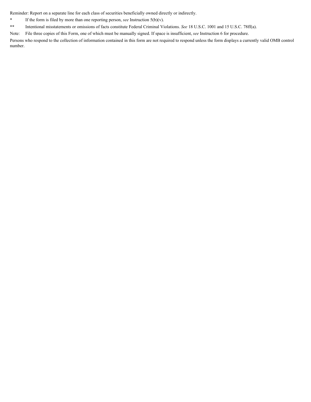Reminder: Report on a separate line for each class of securities beneficially owned directly or indirectly.

- <span id="page-2-0"></span>**\*** If the form is filed by more than one reporting person, *see* Instruction 5(b)(v).
- <span id="page-2-1"></span>**\*\*** Intentional misstatements or omissions of facts constitute Federal Criminal Violations. *See* 18 U.S.C. 1001 and 15 U.S.C. 78ff(a).

Note: File three copies of this Form, one of which must be manually signed. If space is insufficient, *see* Instruction 6 for procedure.

Persons who respond to the collection of information contained in this form are not required to respond unless the form displays a currently valid OMB control number.